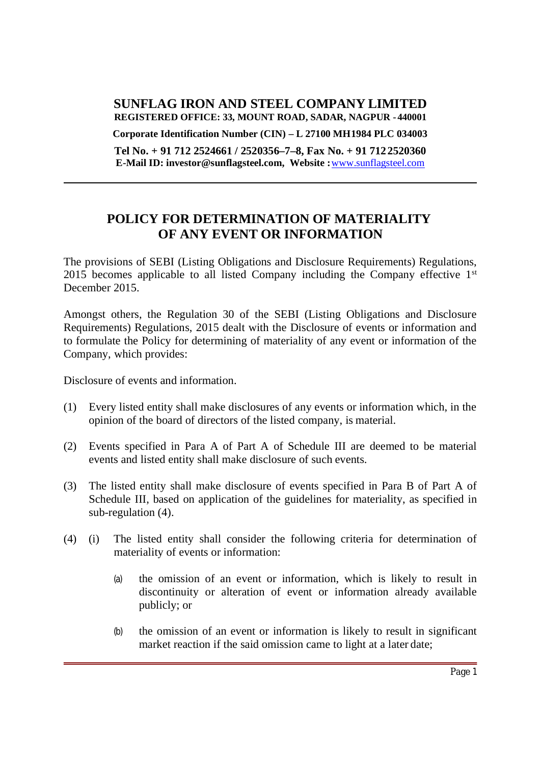#### **SUNFLAG IRON AND STEEL COMPANY LIMITED REGISTERED OFFICE: 33, MOUNT ROAD, SADAR, NAGPUR - 440001**

**Corporate Identification Number (CIN) – L 27100 MH1984 PLC 034003**

**Tel No. + 91 712 2524661 / 2520356–7–8, Fax No. + 91 712 2520360 E-Mail ID: investor@sunflagsteel.com, Website :**www.sunflagsteel.com

# **POLICY FOR DETERMINATION OF MATERIALITY OF ANY EVENT OR INFORMATION**

The provisions of SEBI (Listing Obligations and Disclosure Requirements) Regulations,  $2015$  becomes applicable to all listed Company including the Company effective  $1<sup>st</sup>$ December 2015.

Amongst others, the Regulation 30 of the SEBI (Listing Obligations and Disclosure Requirements) Regulations, 2015 dealt with the Disclosure of events or information and to formulate the Policy for determining of materiality of any event or information of the Company, which provides:

Disclosure of events and information.

- (1) Every listed entity shall make disclosures of any events or information which, in the opinion of the board of directors of the listed company, is material.
- (2) Events specified in Para A of Part A of Schedule III are deemed to be material events and listed entity shall make disclosure of such events.
- (3) The listed entity shall make disclosure of events specified in Para B of Part A of Schedule III, based on application of the guidelines for materiality, as specified in sub-regulation (4).
- (4) (i) The listed entity shall consider the following criteria for determination of materiality of events or information:
	- (a) the omission of an event or information, which is likely to result in discontinuity or alteration of event or information already available publicly; or
	- (b) the omission of an event or information is likely to result in significant market reaction if the said omission came to light at a later date;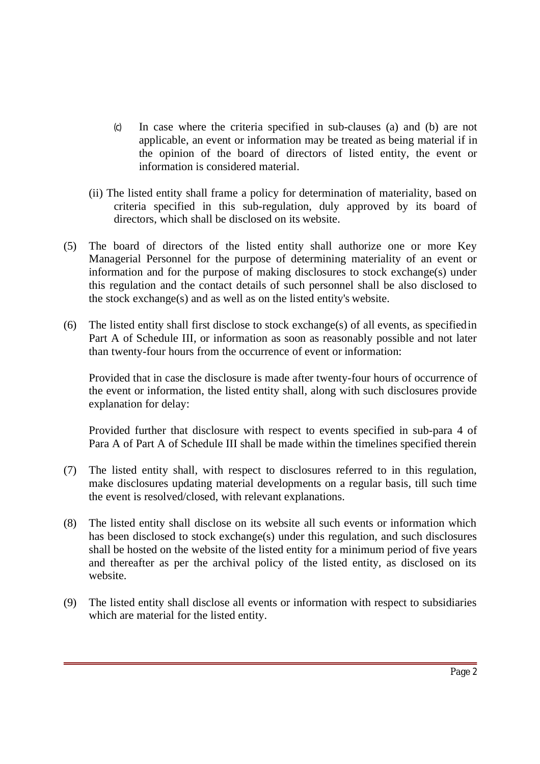- (c) In case where the criteria specified in sub-clauses (a) and (b) are not applicable, an event or information may be treated as being material if in the opinion of the board of directors of listed entity, the event or information is considered material.
- (ii) The listed entity shall frame a policy for determination of materiality, based on criteria specified in this sub-regulation, duly approved by its board of directors, which shall be disclosed on its website.
- (5) The board of directors of the listed entity shall authorize one or more Key Managerial Personnel for the purpose of determining materiality of an event or information and for the purpose of making disclosures to stock exchange(s) under this regulation and the contact details of such personnel shall be also disclosed to the stock exchange(s) and as well as on the listed entity's website.
- (6) The listed entity shall first disclose to stock exchange(s) of all events, as specifiedin Part A of Schedule III, or information as soon as reasonably possible and not later than twenty-four hours from the occurrence of event or information:

Provided that in case the disclosure is made after twenty-four hours of occurrence of the event or information, the listed entity shall, along with such disclosures provide explanation for delay:

Provided further that disclosure with respect to events specified in sub-para 4 of Para A of Part A of Schedule III shall be made within the timelines specified therein

- (7) The listed entity shall, with respect to disclosures referred to in this regulation, make disclosures updating material developments on a regular basis, till such time the event is resolved/closed, with relevant explanations.
- (8) The listed entity shall disclose on its website all such events or information which has been disclosed to stock exchange(s) under this regulation, and such disclosures shall be hosted on the website of the listed entity for a minimum period of five years and thereafter as per the archival policy of the listed entity, as disclosed on its website.
- (9) The listed entity shall disclose all events or information with respect to subsidiaries which are material for the listed entity.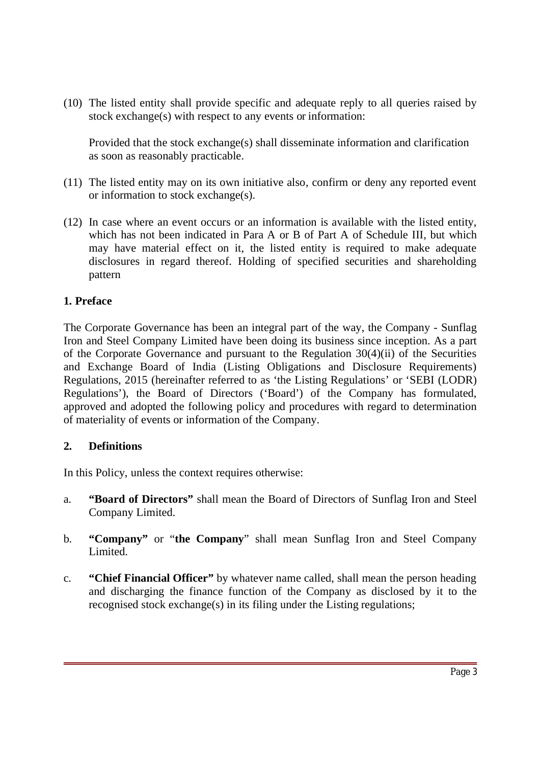(10) The listed entity shall provide specific and adequate reply to all queries raised by stock exchange(s) with respect to any events or information:

Provided that the stock exchange(s) shall disseminate information and clarification as soon as reasonably practicable.

- (11) The listed entity may on its own initiative also, confirm or deny any reported event or information to stock exchange(s).
- (12) In case where an event occurs or an information is available with the listed entity, which has not been indicated in Para A or B of Part A of Schedule III, but which may have material effect on it, the listed entity is required to make adequate disclosures in regard thereof. Holding of specified securities and shareholding pattern

#### **1. Preface**

The Corporate Governance has been an integral part of the way, the Company - Sunflag Iron and Steel Company Limited have been doing its business since inception. As a part of the Corporate Governance and pursuant to the Regulation 30(4)(ii) of the Securities and Exchange Board of India (Listing Obligations and Disclosure Requirements) Regulations, 2015 (hereinafter referred to as 'the Listing Regulations' or 'SEBI (LODR) Regulations'), the Board of Directors ('Board') of the Company has formulated, approved and adopted the following policy and procedures with regard to determination of materiality of events or information of the Company.

#### **2. Definitions**

In this Policy, unless the context requires otherwise:

- a. **"Board of Directors"** shall mean the Board of Directors of Sunflag Iron and Steel Company Limited.
- b. **"Company"** or "**the Company**" shall mean Sunflag Iron and Steel Company Limited.
- c. **"Chief Financial Officer"** by whatever name called, shall mean the person heading and discharging the finance function of the Company as disclosed by it to the recognised stock exchange(s) in its filing under the Listing regulations;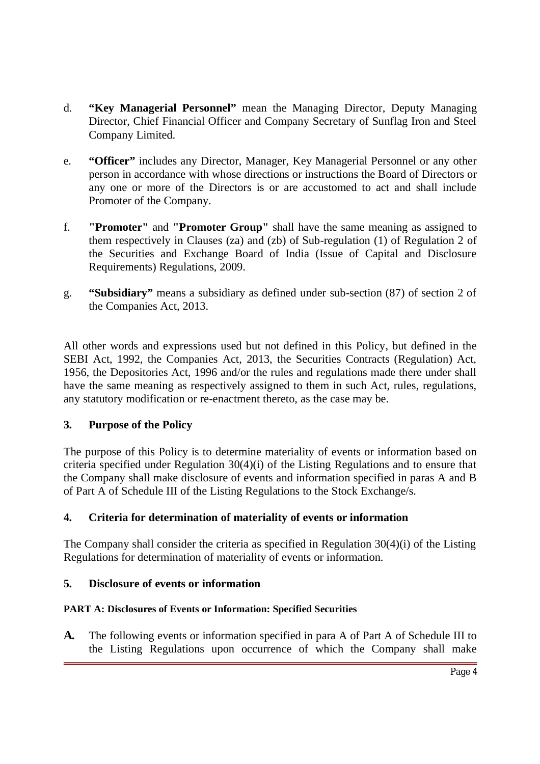- d. **"Key Managerial Personnel"** mean the Managing Director, Deputy Managing Director, Chief Financial Officer and Company Secretary of Sunflag Iron and Steel Company Limited.
- e. **"Officer"** includes any Director, Manager, Key Managerial Personnel or any other person in accordance with whose directions or instructions the Board of Directors or any one or more of the Directors is or are accustomed to act and shall include Promoter of the Company.
- f. **"Promoter"** and **"Promoter Group"** shall have the same meaning as assigned to them respectively in Clauses (za) and (zb) of Sub-regulation (1) of Regulation 2 of the Securities and Exchange Board of India (Issue of Capital and Disclosure Requirements) Regulations, 2009.
- g. **"Subsidiary"** means a subsidiary as defined under sub-section (87) of section 2 of the Companies Act, 2013.

All other words and expressions used but not defined in this Policy, but defined in the SEBI Act, 1992, the Companies Act, 2013, the Securities Contracts (Regulation) Act, 1956, the Depositories Act, 1996 and/or the rules and regulations made there under shall have the same meaning as respectively assigned to them in such Act, rules, regulations, any statutory modification or re-enactment thereto, as the case may be.

### **3. Purpose of the Policy**

The purpose of this Policy is to determine materiality of events or information based on criteria specified under Regulation 30(4)(i) of the Listing Regulations and to ensure that the Company shall make disclosure of events and information specified in paras A and B of Part A of Schedule III of the Listing Regulations to the Stock Exchange/s.

## **4. Criteria for determination of materiality of events or information**

The Company shall consider the criteria as specified in Regulation 30(4)(i) of the Listing Regulations for determination of materiality of events or information.

### **5. Disclosure of events or information**

### **PART A: Disclosures of Events or Information: Specified Securities**

**A.** The following events or information specified in para A of Part A of Schedule III to the Listing Regulations upon occurrence of which the Company shall make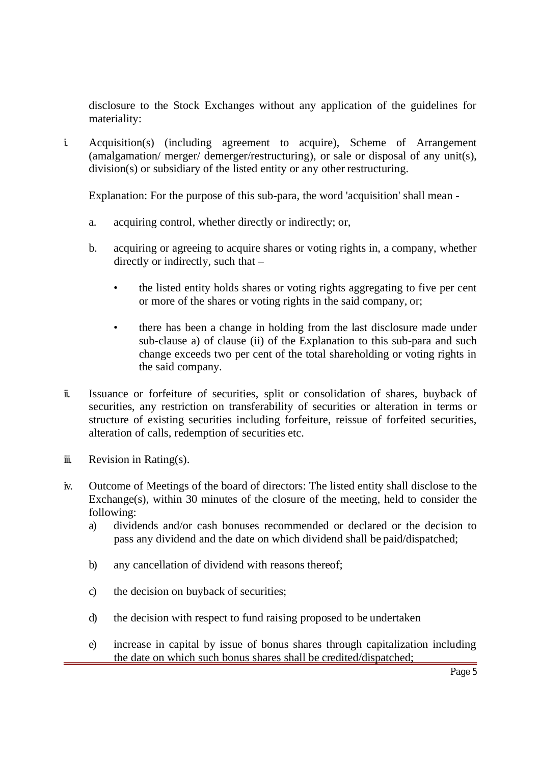disclosure to the Stock Exchanges without any application of the guidelines for materiality:

i. Acquisition(s) (including agreement to acquire), Scheme of Arrangement (amalgamation/ merger/ demerger/restructuring), or sale or disposal of any unit(s), division(s) or subsidiary of the listed entity or any other restructuring.

Explanation: For the purpose of this sub-para, the word 'acquisition' shall mean -

- a. acquiring control, whether directly or indirectly; or,
- b. acquiring or agreeing to acquire shares or voting rights in, a company, whether directly or indirectly, such that –
	- the listed entity holds shares or voting rights aggregating to five per cent or more of the shares or voting rights in the said company, or;
	- there has been a change in holding from the last disclosure made under sub-clause a) of clause (ii) of the Explanation to this sub-para and such change exceeds two per cent of the total shareholding or voting rights in the said company.
- ii. Issuance or forfeiture of securities, split or consolidation of shares, buyback of securities, any restriction on transferability of securities or alteration in terms or structure of existing securities including forfeiture, reissue of forfeited securities, alteration of calls, redemption of securities etc.
- $i$  Revision in Rating(s).
- iv. Outcome of Meetings of the board of directors: The listed entity shall disclose to the Exchange(s), within 30 minutes of the closure of the meeting, held to consider the following:
	- a) dividends and/or cash bonuses recommended or declared or the decision to pass any dividend and the date on which dividend shall be paid/dispatched;
	- b) any cancellation of dividend with reasons thereof;
	- c) the decision on buyback of securities;
	- d) the decision with respect to fund raising proposed to be undertaken
	- e) increase in capital by issue of bonus shares through capitalization including the date on which such bonus shares shall be credited/dispatched;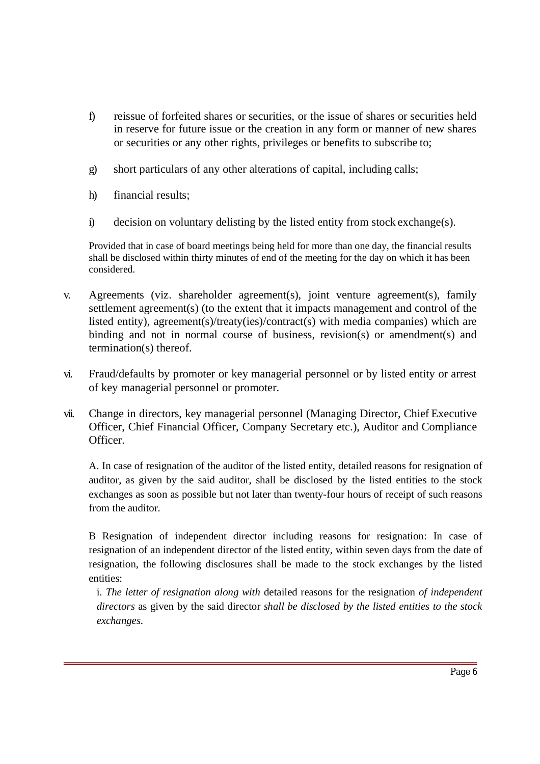- f) reissue of forfeited shares or securities, or the issue of shares or securities held in reserve for future issue or the creation in any form or manner of new shares or securities or any other rights, privileges or benefits to subscribe to;
- g) short particulars of any other alterations of capital, including calls;
- h) financial results;
- i) decision on voluntary delisting by the listed entity from stock exchange(s).

Provided that in case of board meetings being held for more than one day, the financial results shall be disclosed within thirty minutes of end of the meeting for the day on which it has been considered.

- v. Agreements (viz. shareholder agreement(s), joint venture agreement(s), family settlement agreement(s) (to the extent that it impacts management and control of the listed entity), agreement(s)/treaty(ies)/contract(s) with media companies) which are binding and not in normal course of business, revision(s) or amendment(s) and termination(s) thereof.
- vi. Fraud/defaults by promoter or key managerial personnel or by listed entity or arrest of key managerial personnel or promoter.
- vii. Change in directors, key managerial personnel (Managing Director, Chief Executive Officer, Chief Financial Officer, Company Secretary etc.), Auditor and Compliance Officer.

A. In case of resignation of the auditor of the listed entity, detailed reasons for resignation of auditor, as given by the said auditor, shall be disclosed by the listed entities to the stock exchanges as soon as possible but not later than twenty-four hours of receipt of such reasons from the auditor.

B Resignation of independent director including reasons for resignation: In case of resignation of an independent director of the listed entity, within seven days from the date of resignation, the following disclosures shall be made to the stock exchanges by the listed entities:

i. *The letter of resignation along with* detailed reasons for the resignation *of independent directors* as given by the said director *shall be disclosed by the listed entities to the stock exchanges*.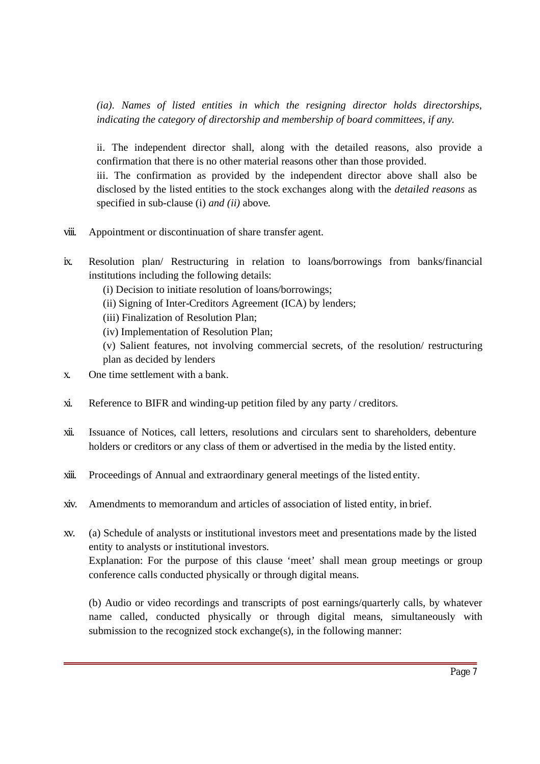*(ia). Names of listed entities in which the resigning director holds directorships, indicating the category of directorship and membership of board committees, if any*.

ii. The independent director shall, along with the detailed reasons, also provide a confirmation that there is no other material reasons other than those provided. iii. The confirmation as provided by the independent director above shall also be

disclosed by the listed entities to the stock exchanges along with the *detailed reasons* as specified in sub-clause (i) *and (ii)* above.

- viii. Appointment or discontinuation of share transfer agent.
- ix. Resolution plan/ Restructuring in relation to loans/borrowings from banks/financial institutions including the following details:
	- (i) Decision to initiate resolution of loans/borrowings;
	- (ii) Signing of Inter-Creditors Agreement (ICA) by lenders;
	- (iii) Finalization of Resolution Plan;
	- (iv) Implementation of Resolution Plan;
	- (v) Salient features, not involving commercial secrets, of the resolution/ restructuring plan as decided by lenders
- x. One time settlement with a bank.
- xi. Reference to BIFR and winding-up petition filed by any party / creditors.
- xii. Issuance of Notices, call letters, resolutions and circulars sent to shareholders, debenture holders or creditors or any class of them or advertised in the media by the listed entity.
- xiii. Proceedings of Annual and extraordinary general meetings of the listed entity.
- xiv. Amendments to memorandum and articles of association of listed entity, in brief.
- xv. (a) Schedule of analysts or institutional investors meet and presentations made by the listed entity to analysts or institutional investors. Explanation: For the purpose of this clause 'meet' shall mean group meetings or group conference calls conducted physically or through digital means.

(b) Audio or video recordings and transcripts of post earnings/quarterly calls, by whatever name called, conducted physically or through digital means, simultaneously with submission to the recognized stock exchange $(s)$ , in the following manner: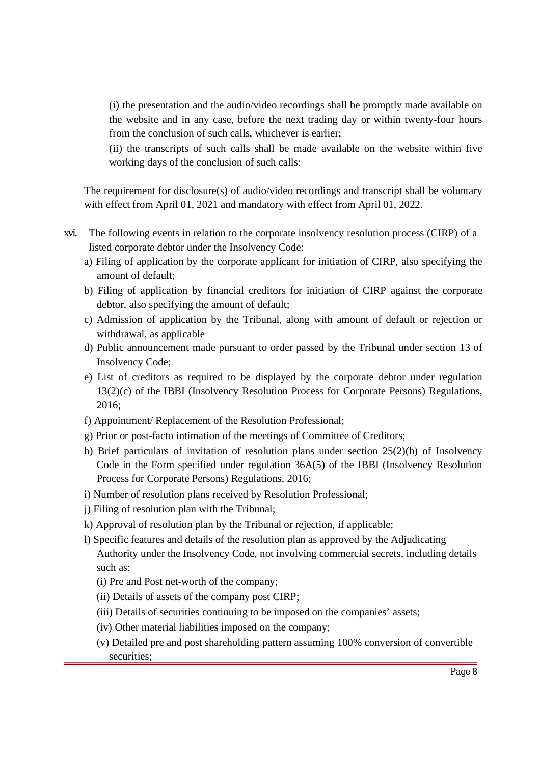(i) the presentation and the audio/video recordings shall be promptly made available on the website and in any case, before the next trading day or within twenty-four hours from the conclusion of such calls, whichever is earlier;

(ii) the transcripts of such calls shall be made available on the website within five working days of the conclusion of such calls:

The requirement for disclosure(s) of audio/video recordings and transcript shall be voluntary with effect from April 01, 2021 and mandatory with effect from April 01, 2022.

- xvi. The following events in relation to the corporate insolvency resolution process (CIRP) of a listed corporate debtor under the Insolvency Code:
	- a) Filing of application by the corporate applicant for initiation of CIRP, also specifying the amount of default;
	- b) Filing of application by financial creditors for initiation of CIRP against the corporate debtor, also specifying the amount of default;
	- c) Admission of application by the Tribunal, along with amount of default or rejection or withdrawal, as applicable
	- d) Public announcement made pursuant to order passed by the Tribunal under section 13 of Insolvency Code;
	- e) List of creditors as required to be displayed by the corporate debtor under regulation 13(2)(c) of the IBBI (Insolvency Resolution Process for Corporate Persons) Regulations, 2016;
	- f) Appointment/ Replacement of the Resolution Professional;
	- g) Prior or post-facto intimation of the meetings of Committee of Creditors;
	- h) Brief particulars of invitation of resolution plans under section 25(2)(h) of Insolvency Code in the Form specified under regulation 36A(5) of the IBBI (Insolvency Resolution Process for Corporate Persons) Regulations, 2016;
	- i) Number of resolution plans received by Resolution Professional;
	- j) Filing of resolution plan with the Tribunal;
	- k) Approval of resolution plan by the Tribunal or rejection, if applicable;
	- l) Specific features and details of the resolution plan as approved by the Adjudicating Authority under the Insolvency Code, not involving commercial secrets, including details such as:
		- (i) Pre and Post net-worth of the company;
		- (ii) Details of assets of the company post CIRP;
		- (iii) Details of securities continuing to be imposed on the companies' assets;
		- (iv) Other material liabilities imposed on the company;
		- (v) Detailed pre and post shareholding pattern assuming 100% conversion of convertible securities;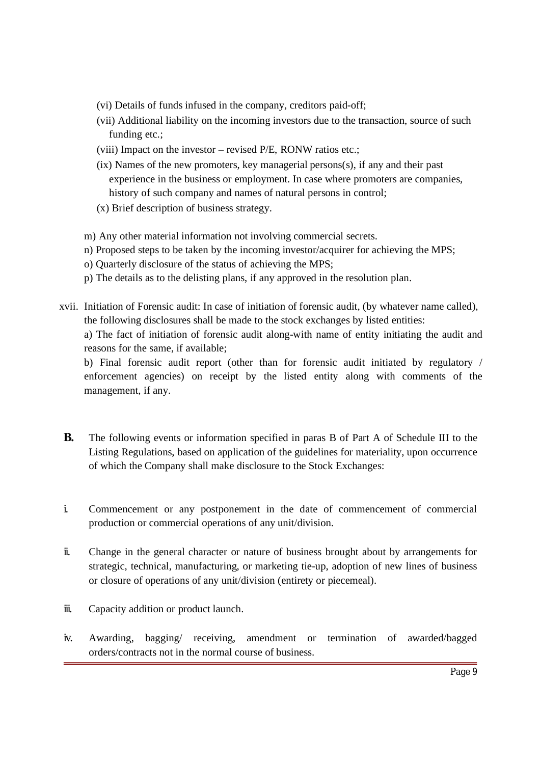- (vi) Details of funds infused in the company, creditors paid-off;
- (vii) Additional liability on the incoming investors due to the transaction, source of such funding etc.;
- (viii) Impact on the investor revised P/E, RONW ratios etc.;
- (ix) Names of the new promoters, key managerial persons(s), if any and their past experience in the business or employment. In case where promoters are companies, history of such company and names of natural persons in control;
- (x) Brief description of business strategy.
- m) Any other material information not involving commercial secrets.
- n) Proposed steps to be taken by the incoming investor/acquirer for achieving the MPS;
- o) Quarterly disclosure of the status of achieving the MPS;
- p) The details as to the delisting plans, if any approved in the resolution plan.
- xvii. Initiation of Forensic audit: In case of initiation of forensic audit, (by whatever name called), the following disclosures shall be made to the stock exchanges by listed entities:

a) The fact of initiation of forensic audit along-with name of entity initiating the audit and reasons for the same, if available;

b) Final forensic audit report (other than for forensic audit initiated by regulatory / enforcement agencies) on receipt by the listed entity along with comments of the management, if any.

- **B.** The following events or information specified in paras B of Part A of Schedule III to the Listing Regulations, based on application of the guidelines for materiality, upon occurrence of which the Company shall make disclosure to the Stock Exchanges:
- i. Commencement or any postponement in the date of commencement of commercial production or commercial operations of any unit/division.
- ii. Change in the general character or nature of business brought about by arrangements for strategic, technical, manufacturing, or marketing tie-up, adoption of new lines of business or closure of operations of any unit/division (entirety or piecemeal).
- iii. Capacity addition or product launch.
- iv. Awarding, bagging/ receiving, amendment or termination of awarded/bagged orders/contracts not in the normal course of business.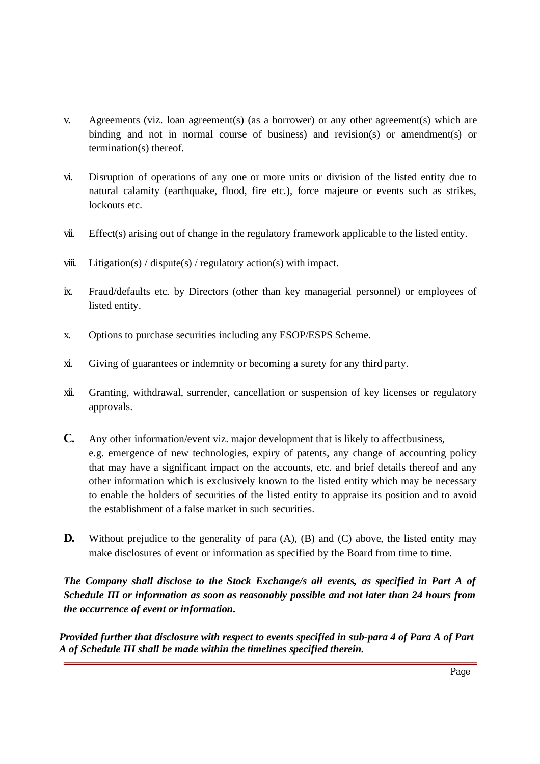- v. Agreements (viz. loan agreement(s) (as a borrower) or any other agreement(s) which are binding and not in normal course of business) and revision(s) or amendment(s) or termination(s) thereof.
- vi. Disruption of operations of any one or more units or division of the listed entity due to natural calamity (earthquake, flood, fire etc.), force majeure or events such as strikes, lockouts etc.
- vii. Effect(s) arising out of change in the regulatory framework applicable to the listed entity.
- viii. Litigation(s) / dispute(s) / regulatory action(s) with impact.
- ix. Fraud/defaults etc. by Directors (other than key managerial personnel) or employees of listed entity.
- x. Options to purchase securities including any ESOP/ESPS Scheme.
- xi. Giving of guarantees or indemnity or becoming a surety for any third party.
- xii. Granting, withdrawal, surrender, cancellation or suspension of key licenses or regulatory approvals.
- **C.** Any other information/event viz. major development that is likely to affectbusiness, e.g. emergence of new technologies, expiry of patents, any change of accounting policy that may have a significant impact on the accounts, etc. and brief details thereof and any other information which is exclusively known to the listed entity which may be necessary to enable the holders of securities of the listed entity to appraise its position and to avoid the establishment of a false market in such securities.
- **D.** Without prejudice to the generality of para (A), (B) and (C) above, the listed entity may make disclosures of event or information as specified by the Board from time to time.

*The Company shall disclose to the Stock Exchange/s all events, as specified in Part A of Schedule III or information as soon as reasonably possible and not later than 24 hours from the occurrence of event or information.*

*Provided further that disclosure with respect to events specified in sub-para 4 of Para A of Part A of Schedule III shall be made within the timelines specified therein.*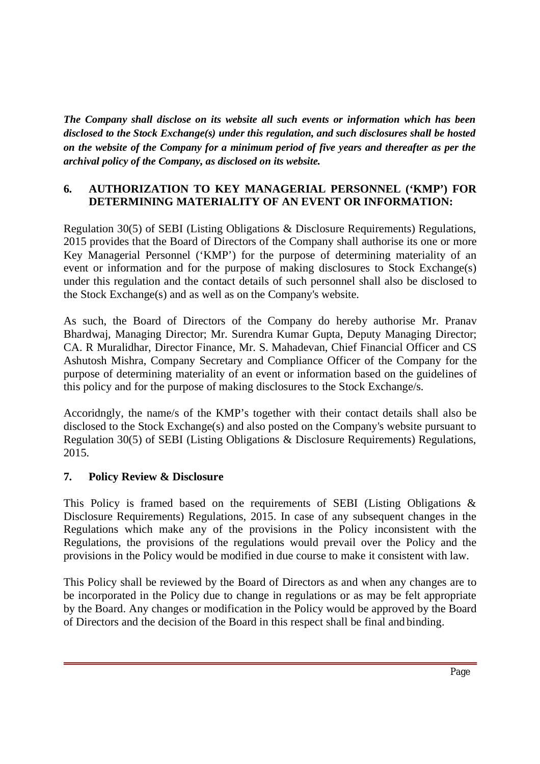*The Company shall disclose on its website all such events or information which has been disclosed to the Stock Exchange(s) under this regulation, and such disclosures shall be hosted on the website of the Company for a minimum period of five years and thereafter as per the archival policy of the Company, as disclosed on its website.*

#### **6. AUTHORIZATION TO KEY MANAGERIAL PERSONNEL ('KMP') FOR DETERMINING MATERIALITY OF AN EVENT OR INFORMATION:**

Regulation 30(5) of SEBI (Listing Obligations & Disclosure Requirements) Regulations, 2015 provides that the Board of Directors of the Company shall authorise its one or more Key Managerial Personnel ('KMP') for the purpose of determining materiality of an event or information and for the purpose of making disclosures to Stock Exchange(s) under this regulation and the contact details of such personnel shall also be disclosed to the Stock Exchange(s) and as well as on the Company's website.

As such, the Board of Directors of the Company do hereby authorise Mr. Pranav Bhardwaj, Managing Director; Mr. Surendra Kumar Gupta, Deputy Managing Director; CA. R Muralidhar, Director Finance, Mr. S. Mahadevan, Chief Financial Officer and CS Ashutosh Mishra, Company Secretary and Compliance Officer of the Company for the purpose of determining materiality of an event or information based on the guidelines of this policy and for the purpose of making disclosures to the Stock Exchange/s.

Accoridngly, the name/s of the KMP's together with their contact details shall also be disclosed to the Stock Exchange(s) and also posted on the Company's website pursuant to Regulation 30(5) of SEBI (Listing Obligations & Disclosure Requirements) Regulations, 2015.

### **7. Policy Review & Disclosure**

This Policy is framed based on the requirements of SEBI (Listing Obligations & Disclosure Requirements) Regulations, 2015. In case of any subsequent changes in the Regulations which make any of the provisions in the Policy inconsistent with the Regulations, the provisions of the regulations would prevail over the Policy and the provisions in the Policy would be modified in due course to make it consistent with law.

This Policy shall be reviewed by the Board of Directors as and when any changes are to be incorporated in the Policy due to change in regulations or as may be felt appropriate by the Board. Any changes or modification in the Policy would be approved by the Board of Directors and the decision of the Board in this respect shall be final and binding.